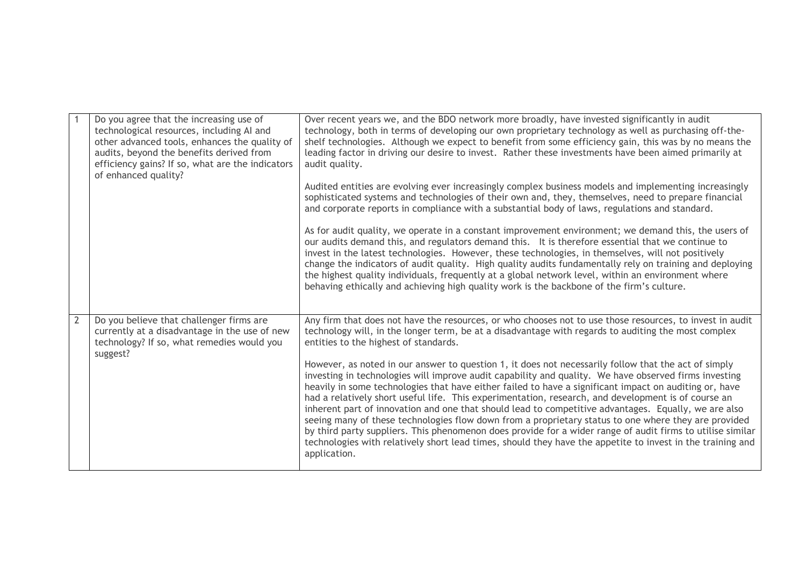|                | Do you agree that the increasing use of<br>technological resources, including AI and<br>other advanced tools, enhances the quality of<br>audits, beyond the benefits derived from<br>efficiency gains? If so, what are the indicators<br>of enhanced quality? | Over recent years we, and the BDO network more broadly, have invested significantly in audit<br>technology, both in terms of developing our own proprietary technology as well as purchasing off-the-<br>shelf technologies. Although we expect to benefit from some efficiency gain, this was by no means the<br>leading factor in driving our desire to invest. Rather these investments have been aimed primarily at<br>audit quality.                                                                                                                                                                                                                                                                                                                                                                                                                                                  |
|----------------|---------------------------------------------------------------------------------------------------------------------------------------------------------------------------------------------------------------------------------------------------------------|--------------------------------------------------------------------------------------------------------------------------------------------------------------------------------------------------------------------------------------------------------------------------------------------------------------------------------------------------------------------------------------------------------------------------------------------------------------------------------------------------------------------------------------------------------------------------------------------------------------------------------------------------------------------------------------------------------------------------------------------------------------------------------------------------------------------------------------------------------------------------------------------|
|                |                                                                                                                                                                                                                                                               | Audited entities are evolving ever increasingly complex business models and implementing increasingly<br>sophisticated systems and technologies of their own and, they, themselves, need to prepare financial<br>and corporate reports in compliance with a substantial body of laws, regulations and standard.                                                                                                                                                                                                                                                                                                                                                                                                                                                                                                                                                                            |
|                |                                                                                                                                                                                                                                                               | As for audit quality, we operate in a constant improvement environment; we demand this, the users of<br>our audits demand this, and regulators demand this. It is therefore essential that we continue to<br>invest in the latest technologies. However, these technologies, in themselves, will not positively<br>change the indicators of audit quality. High quality audits fundamentally rely on training and deploying<br>the highest quality individuals, frequently at a global network level, within an environment where<br>behaving ethically and achieving high quality work is the backbone of the firm's culture.                                                                                                                                                                                                                                                             |
| $\overline{2}$ | Do you believe that challenger firms are<br>currently at a disadvantage in the use of new<br>technology? If so, what remedies would you<br>suggest?                                                                                                           | Any firm that does not have the resources, or who chooses not to use those resources, to invest in audit<br>technology will, in the longer term, be at a disadvantage with regards to auditing the most complex<br>entities to the highest of standards.                                                                                                                                                                                                                                                                                                                                                                                                                                                                                                                                                                                                                                   |
|                |                                                                                                                                                                                                                                                               | However, as noted in our answer to question 1, it does not necessarily follow that the act of simply<br>investing in technologies will improve audit capability and quality. We have observed firms investing<br>heavily in some technologies that have either failed to have a significant impact on auditing or, have<br>had a relatively short useful life. This experimentation, research, and development is of course an<br>inherent part of innovation and one that should lead to competitive advantages. Equally, we are also<br>seeing many of these technologies flow down from a proprietary status to one where they are provided<br>by third party suppliers. This phenomenon does provide for a wider range of audit firms to utilise similar<br>technologies with relatively short lead times, should they have the appetite to invest in the training and<br>application. |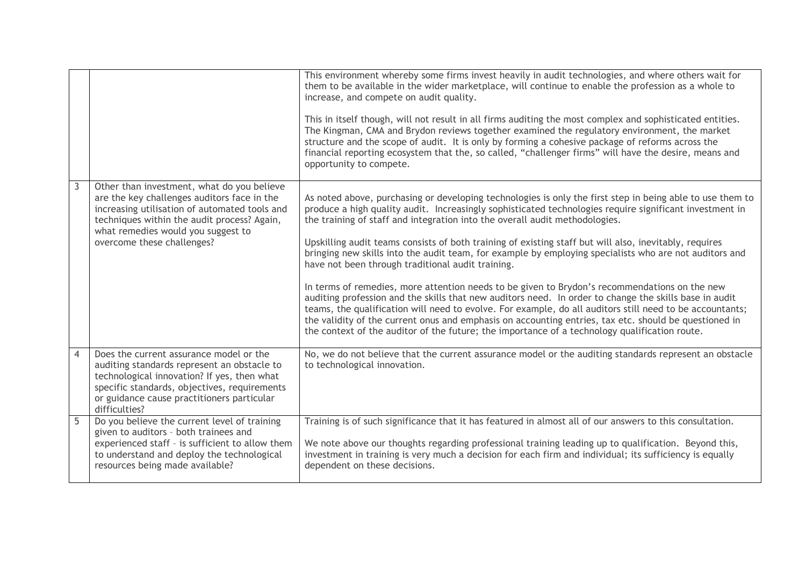|                |                                                                                                                                                                                                                                                               | This environment whereby some firms invest heavily in audit technologies, and where others wait for<br>them to be available in the wider marketplace, will continue to enable the profession as a whole to<br>increase, and compete on audit quality.<br>This in itself though, will not result in all firms auditing the most complex and sophisticated entities.<br>The Kingman, CMA and Brydon reviews together examined the regulatory environment, the market<br>structure and the scope of audit. It is only by forming a cohesive package of reforms across the<br>financial reporting ecosystem that the, so called, "challenger firms" will have the desire, means and<br>opportunity to compete.                                                                                                                                                                                                                                                                                                                                                                                                    |
|----------------|---------------------------------------------------------------------------------------------------------------------------------------------------------------------------------------------------------------------------------------------------------------|---------------------------------------------------------------------------------------------------------------------------------------------------------------------------------------------------------------------------------------------------------------------------------------------------------------------------------------------------------------------------------------------------------------------------------------------------------------------------------------------------------------------------------------------------------------------------------------------------------------------------------------------------------------------------------------------------------------------------------------------------------------------------------------------------------------------------------------------------------------------------------------------------------------------------------------------------------------------------------------------------------------------------------------------------------------------------------------------------------------|
| 3              | Other than investment, what do you believe<br>are the key challenges auditors face in the<br>increasing utilisation of automated tools and<br>techniques within the audit process? Again,<br>what remedies would you suggest to<br>overcome these challenges? | As noted above, purchasing or developing technologies is only the first step in being able to use them to<br>produce a high quality audit. Increasingly sophisticated technologies require significant investment in<br>the training of staff and integration into the overall audit methodologies.<br>Upskilling audit teams consists of both training of existing staff but will also, inevitably, requires<br>bringing new skills into the audit team, for example by employing specialists who are not auditors and<br>have not been through traditional audit training.<br>In terms of remedies, more attention needs to be given to Brydon's recommendations on the new<br>auditing profession and the skills that new auditors need. In order to change the skills base in audit<br>teams, the qualification will need to evolve. For example, do all auditors still need to be accountants;<br>the validity of the current onus and emphasis on accounting entries, tax etc. should be questioned in<br>the context of the auditor of the future; the importance of a technology qualification route. |
| $\overline{4}$ | Does the current assurance model or the<br>auditing standards represent an obstacle to<br>technological innovation? If yes, then what<br>specific standards, objectives, requirements<br>or guidance cause practitioners particular<br>difficulties?          | No, we do not believe that the current assurance model or the auditing standards represent an obstacle<br>to technological innovation.                                                                                                                                                                                                                                                                                                                                                                                                                                                                                                                                                                                                                                                                                                                                                                                                                                                                                                                                                                        |
| $\overline{5}$ | Do you believe the current level of training<br>given to auditors - both trainees and<br>experienced staff - is sufficient to allow them<br>to understand and deploy the technological<br>resources being made available?                                     | Training is of such significance that it has featured in almost all of our answers to this consultation.<br>We note above our thoughts regarding professional training leading up to qualification. Beyond this,<br>investment in training is very much a decision for each firm and individual; its sufficiency is equally<br>dependent on these decisions.                                                                                                                                                                                                                                                                                                                                                                                                                                                                                                                                                                                                                                                                                                                                                  |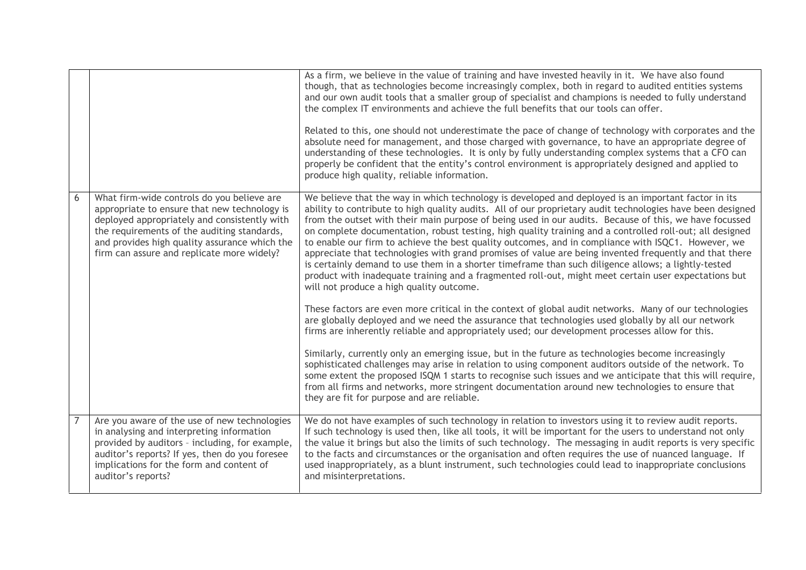|                |                                                                                                                                                                                                                                                                                          | As a firm, we believe in the value of training and have invested heavily in it. We have also found<br>though, that as technologies become increasingly complex, both in regard to audited entities systems<br>and our own audit tools that a smaller group of specialist and champions is needed to fully understand<br>the complex IT environments and achieve the full benefits that our tools can offer.<br>Related to this, one should not underestimate the pace of change of technology with corporates and the<br>absolute need for management, and those charged with governance, to have an appropriate degree of<br>understanding of these technologies. It is only by fully understanding complex systems that a CFO can<br>properly be confident that the entity's control environment is appropriately designed and applied to<br>produce high quality, reliable information.                         |
|----------------|------------------------------------------------------------------------------------------------------------------------------------------------------------------------------------------------------------------------------------------------------------------------------------------|--------------------------------------------------------------------------------------------------------------------------------------------------------------------------------------------------------------------------------------------------------------------------------------------------------------------------------------------------------------------------------------------------------------------------------------------------------------------------------------------------------------------------------------------------------------------------------------------------------------------------------------------------------------------------------------------------------------------------------------------------------------------------------------------------------------------------------------------------------------------------------------------------------------------|
| 6              | What firm-wide controls do you believe are<br>appropriate to ensure that new technology is<br>deployed appropriately and consistently with<br>the requirements of the auditing standards,<br>and provides high quality assurance which the<br>firm can assure and replicate more widely? | We believe that the way in which technology is developed and deployed is an important factor in its<br>ability to contribute to high quality audits. All of our proprietary audit technologies have been designed<br>from the outset with their main purpose of being used in our audits. Because of this, we have focussed<br>on complete documentation, robust testing, high quality training and a controlled roll-out; all designed<br>to enable our firm to achieve the best quality outcomes, and in compliance with ISQC1. However, we<br>appreciate that technologies with grand promises of value are being invented frequently and that there<br>is certainly demand to use them in a shorter timeframe than such diligence allows; a lightly-tested<br>product with inadequate training and a fragmented roll-out, might meet certain user expectations but<br>will not produce a high quality outcome. |
|                |                                                                                                                                                                                                                                                                                          | These factors are even more critical in the context of global audit networks. Many of our technologies<br>are globally deployed and we need the assurance that technologies used globally by all our network<br>firms are inherently reliable and appropriately used; our development processes allow for this.                                                                                                                                                                                                                                                                                                                                                                                                                                                                                                                                                                                                    |
|                |                                                                                                                                                                                                                                                                                          | Similarly, currently only an emerging issue, but in the future as technologies become increasingly<br>sophisticated challenges may arise in relation to using component auditors outside of the network. To<br>some extent the proposed ISQM 1 starts to recognise such issues and we anticipate that this will require,<br>from all firms and networks, more stringent documentation around new technologies to ensure that<br>they are fit for purpose and are reliable.                                                                                                                                                                                                                                                                                                                                                                                                                                         |
| $\overline{7}$ | Are you aware of the use of new technologies<br>in analysing and interpreting information<br>provided by auditors - including, for example,<br>auditor's reports? If yes, then do you foresee<br>implications for the form and content of<br>auditor's reports?                          | We do not have examples of such technology in relation to investors using it to review audit reports.<br>If such technology is used then, like all tools, it will be important for the users to understand not only<br>the value it brings but also the limits of such technology. The messaging in audit reports is very specific<br>to the facts and circumstances or the organisation and often requires the use of nuanced language. If<br>used inappropriately, as a blunt instrument, such technologies could lead to inappropriate conclusions<br>and misinterpretations.                                                                                                                                                                                                                                                                                                                                   |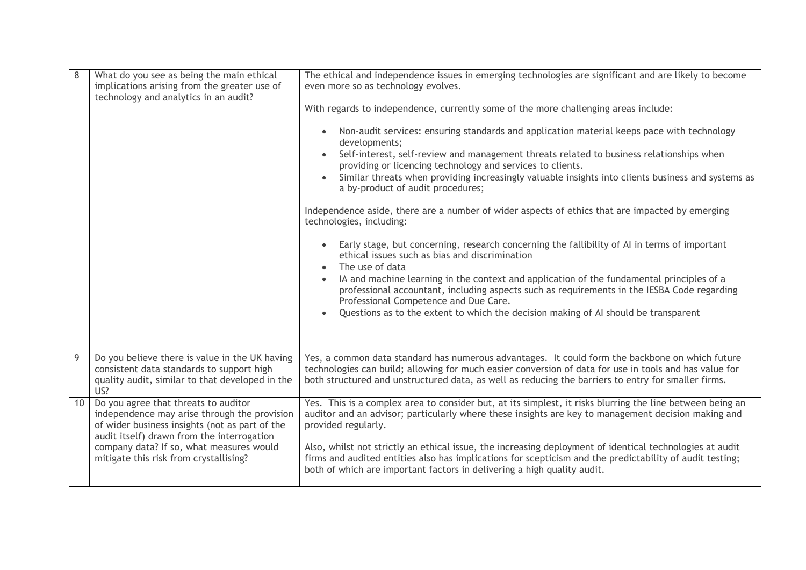| $\,8\,$ | What do you see as being the main ethical<br>implications arising from the greater use of<br>technology and analytics in an audit?                                                                                                                                         | The ethical and independence issues in emerging technologies are significant and are likely to become<br>even more so as technology evolves.<br>With regards to independence, currently some of the more challenging areas include:<br>Non-audit services: ensuring standards and application material keeps pace with technology<br>$\bullet$<br>developments;<br>Self-interest, self-review and management threats related to business relationships when<br>providing or licencing technology and services to clients.<br>Similar threats when providing increasingly valuable insights into clients business and systems as<br>a by-product of audit procedures;<br>Independence aside, there are a number of wider aspects of ethics that are impacted by emerging<br>technologies, including:<br>Early stage, but concerning, research concerning the fallibility of AI in terms of important<br>$\bullet$<br>ethical issues such as bias and discrimination<br>The use of data<br>$\bullet$<br>IA and machine learning in the context and application of the fundamental principles of a<br>professional accountant, including aspects such as requirements in the IESBA Code regarding<br>Professional Competence and Due Care.<br>Questions as to the extent to which the decision making of AI should be transparent<br>$\bullet$ |
|---------|----------------------------------------------------------------------------------------------------------------------------------------------------------------------------------------------------------------------------------------------------------------------------|---------------------------------------------------------------------------------------------------------------------------------------------------------------------------------------------------------------------------------------------------------------------------------------------------------------------------------------------------------------------------------------------------------------------------------------------------------------------------------------------------------------------------------------------------------------------------------------------------------------------------------------------------------------------------------------------------------------------------------------------------------------------------------------------------------------------------------------------------------------------------------------------------------------------------------------------------------------------------------------------------------------------------------------------------------------------------------------------------------------------------------------------------------------------------------------------------------------------------------------------------------------------------------------------------------------------------------------------|
| 9       | Do you believe there is value in the UK having                                                                                                                                                                                                                             | Yes, a common data standard has numerous advantages. It could form the backbone on which future                                                                                                                                                                                                                                                                                                                                                                                                                                                                                                                                                                                                                                                                                                                                                                                                                                                                                                                                                                                                                                                                                                                                                                                                                                             |
|         | consistent data standards to support high<br>quality audit, similar to that developed in the<br>US?                                                                                                                                                                        | technologies can build; allowing for much easier conversion of data for use in tools and has value for<br>both structured and unstructured data, as well as reducing the barriers to entry for smaller firms.                                                                                                                                                                                                                                                                                                                                                                                                                                                                                                                                                                                                                                                                                                                                                                                                                                                                                                                                                                                                                                                                                                                               |
| 10      | Do you agree that threats to auditor<br>independence may arise through the provision<br>of wider business insights (not as part of the<br>audit itself) drawn from the interrogation<br>company data? If so, what measures would<br>mitigate this risk from crystallising? | Yes. This is a complex area to consider but, at its simplest, it risks blurring the line between being an<br>auditor and an advisor; particularly where these insights are key to management decision making and<br>provided regularly.<br>Also, whilst not strictly an ethical issue, the increasing deployment of identical technologies at audit<br>firms and audited entities also has implications for scepticism and the predictability of audit testing;<br>both of which are important factors in delivering a high quality audit.                                                                                                                                                                                                                                                                                                                                                                                                                                                                                                                                                                                                                                                                                                                                                                                                  |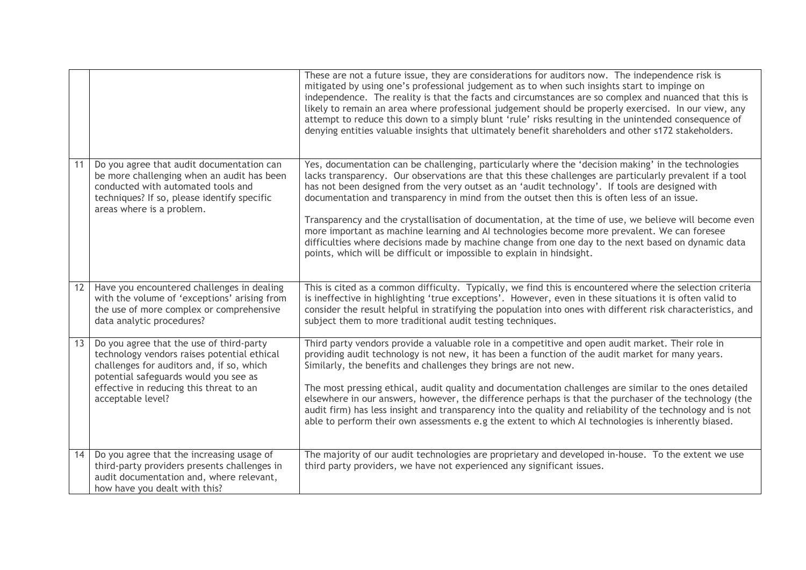|    |                                                                                                                                                                                                                                               | These are not a future issue, they are considerations for auditors now. The independence risk is<br>mitigated by using one's professional judgement as to when such insights start to impinge on<br>independence. The reality is that the facts and circumstances are so complex and nuanced that this is<br>likely to remain an area where professional judgement should be properly exercised. In our view, any<br>attempt to reduce this down to a simply blunt 'rule' risks resulting in the unintended consequence of<br>denying entities valuable insights that ultimately benefit shareholders and other s172 stakeholders.                                                                                                                                                                          |
|----|-----------------------------------------------------------------------------------------------------------------------------------------------------------------------------------------------------------------------------------------------|-------------------------------------------------------------------------------------------------------------------------------------------------------------------------------------------------------------------------------------------------------------------------------------------------------------------------------------------------------------------------------------------------------------------------------------------------------------------------------------------------------------------------------------------------------------------------------------------------------------------------------------------------------------------------------------------------------------------------------------------------------------------------------------------------------------|
| 11 | Do you agree that audit documentation can<br>be more challenging when an audit has been<br>conducted with automated tools and<br>techniques? If so, please identify specific<br>areas where is a problem.                                     | Yes, documentation can be challenging, particularly where the 'decision making' in the technologies<br>lacks transparency. Our observations are that this these challenges are particularly prevalent if a tool<br>has not been designed from the very outset as an 'audit technology'. If tools are designed with<br>documentation and transparency in mind from the outset then this is often less of an issue.<br>Transparency and the crystallisation of documentation, at the time of use, we believe will become even<br>more important as machine learning and AI technologies become more prevalent. We can foresee<br>difficulties where decisions made by machine change from one day to the next based on dynamic data<br>points, which will be difficult or impossible to explain in hindsight. |
| 12 | Have you encountered challenges in dealing<br>with the volume of 'exceptions' arising from<br>the use of more complex or comprehensive<br>data analytic procedures?                                                                           | This is cited as a common difficulty. Typically, we find this is encountered where the selection criteria<br>is ineffective in highlighting 'true exceptions'. However, even in these situations it is often valid to<br>consider the result helpful in stratifying the population into ones with different risk characteristics, and<br>subject them to more traditional audit testing techniques.                                                                                                                                                                                                                                                                                                                                                                                                         |
| 13 | Do you agree that the use of third-party<br>technology vendors raises potential ethical<br>challenges for auditors and, if so, which<br>potential safeguards would you see as<br>effective in reducing this threat to an<br>acceptable level? | Third party vendors provide a valuable role in a competitive and open audit market. Their role in<br>providing audit technology is not new, it has been a function of the audit market for many years.<br>Similarly, the benefits and challenges they brings are not new.<br>The most pressing ethical, audit quality and documentation challenges are similar to the ones detailed<br>elsewhere in our answers, however, the difference perhaps is that the purchaser of the technology (the<br>audit firm) has less insight and transparency into the quality and reliability of the technology and is not<br>able to perform their own assessments e.g the extent to which AI technologies is inherently biased.                                                                                         |
| 14 | Do you agree that the increasing usage of<br>third-party providers presents challenges in<br>audit documentation and, where relevant,<br>how have you dealt with this?                                                                        | The majority of our audit technologies are proprietary and developed in-house. To the extent we use<br>third party providers, we have not experienced any significant issues.                                                                                                                                                                                                                                                                                                                                                                                                                                                                                                                                                                                                                               |